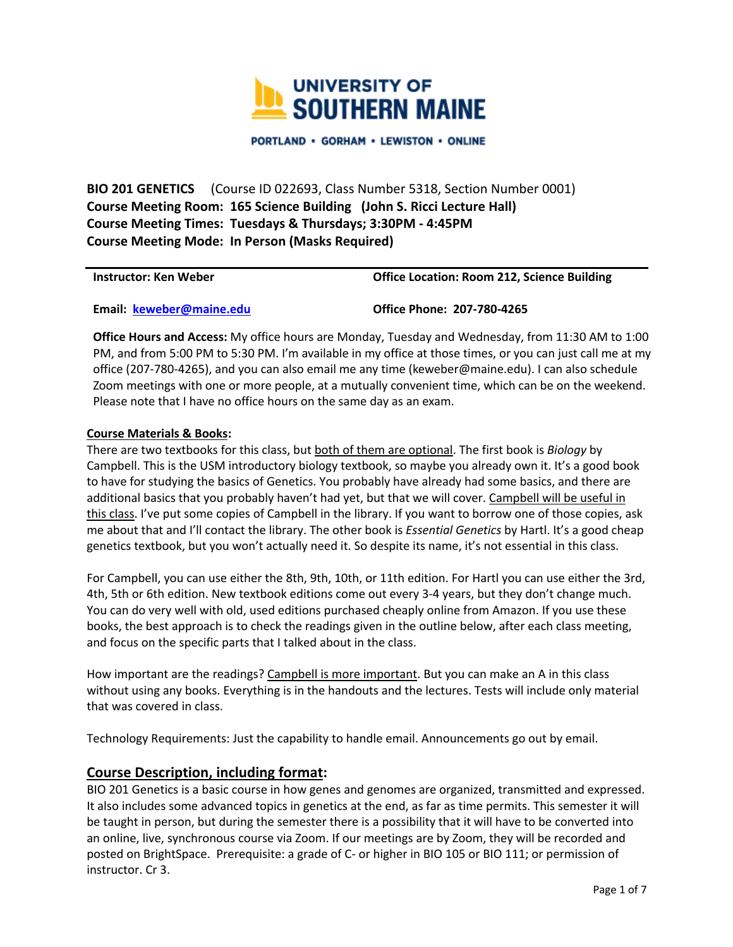

**PORTLAND · GORHAM · LEWISTON · ONLINE** 

 **BIO 201 GENETICS** (Course ID 022693, Class Number 5318, Section Number 0001)  **Course Meeting Room: 165 Science Building (John S. Ricci Lecture Hall) Course Meeting Times: Tuesdays & Thursdays; 3:30PM - 4:45PM Course Meeting Mode: In Person (Masks Required)** 

**Instructor: Ken Weber Compared Access Compared Constructor: Room 212, Science Building <b>Compared Access** Compared Access Office Location: Room 212, Science Building

 **Email: [keweber@maine.edu](mailto:keweber@maine.edu) Office Phone: 207-780-4265** 

 **Office Hours and Access:** My office hours are Monday, Tuesday and Wednesday, from 11:30 AM to 1:00 PM, and from 5:00 PM to 5:30 PM. I'm available in my office at those times, or you can just call me at my office (207-780-4265), and you can also email me any time ([keweber@maine.edu\)](mailto:keweber@maine.edu). I can also schedule Zoom meetings with one or more people, at a mutually convenient time, which can be on the weekend. Please note that I have no office hours on the same day as an exam.

#### **Course Materials & Books:**

 There are two textbooks for this class, but both of them are optional. The first book is *Biology* by Campbell. This is the USM introductory biology textbook, so maybe you already own it. It's a good book to have for studying the basics of Genetics. You probably have already had some basics, and there are additional basics that you probably haven't had yet, but that we will cover. Campbell will be useful in me about that and I'll contact the library. The other book is *Essential Genetics* by Hartl. It's a good cheap genetics textbook, but you won't actually need it. So despite its name, it's not essential in this class. this class. I've put some copies of Campbell in the library. If you want to borrow one of those copies, ask

 For Campbell, you can use either the 8th, 9th, 10th, or 11th edition. For Hartl you can use either the 3rd, 4th, 5th or 6th edition. New textbook editions come out every 3-4 years, but they don't change much. You can do very well with old, used editions purchased cheaply online from Amazon. If you use these books, the best approach is to check the readings given in the outline below, after each class meeting, and focus on the specific parts that I talked about in the class.

How important are the readings? Campbell is more important. But you can make an A in this class without using any books. Everything is in the handouts and the lectures. Tests will include only material that was covered in class.

Technology Requirements: Just the capability to handle email. Announcements go out by email.

## **Course Description, including format:**

 BIO 201 Genetics is a basic course in how genes and genomes are organized, transmitted and expressed. be taught in person, but during the semester there is a possibility that it will have to be converted into an online, live, synchronous course via Zoom. If our meetings are by Zoom, they will be recorded and posted on BrightSpace. Prerequisite: a grade of C- or higher in BIO 105 or BIO 111; or permission of It also includes some advanced topics in genetics at the end, as far as time permits. This semester it will instructor. Cr 3.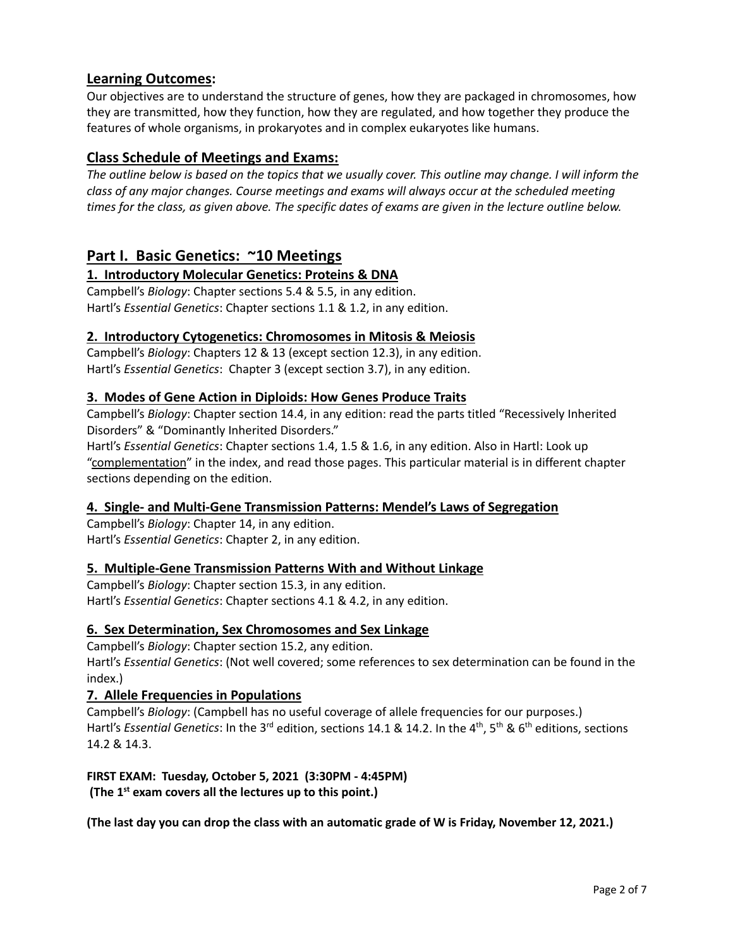# **Learning Outcomes:**

 Our objectives are to understand the structure of genes, how they are packaged in chromosomes, how they are transmitted, how they function, how they are regulated, and how together they produce the features of whole organisms, in prokaryotes and in complex eukaryotes like humans.

# **Class Schedule of Meetings and Exams:**

 *The outline below is based on the topics that we usually cover. This outline may change. I will inform the class of any major changes. Course meetings and exams will always occur at the scheduled meeting times for the class, as given above. The specific dates of exams are given in the lecture outline below.* 

# **Part I. Basic Genetics: ~10 Meetings**

# **1. Introductory Molecular Genetics: Proteins & DNA**

 Campbell's *Biology*: Chapter sections 5.4 & 5.5, in any edition. Hartl's *Essential Genetics*: Chapter sections 1.1 & 1.2, in any edition.

# **2. Introductory Cytogenetics: Chromosomes in Mitosis & Meiosis**

 Campbell's *Biology*: Chapters 12 & 13 (except section 12.3), in any edition. Hartl's *Essential Genetics*: Chapter 3 (except section 3.7), in any edition.

# **3. Modes of Gene Action in Diploids: How Genes Produce Traits**

Campbell's *Biology*: Chapter section 14.4, in any edition: read the parts titled "Recessively Inherited Disorders" & "Dominantly Inherited Disorders."

 Hartl's *Essential Genetics*: Chapter sections 1.4, 1.5 & 1.6, in any edition. Also in Hartl: Look up sections depending on the edition. "complementation" in the index, and read those pages. This particular material is in different chapter

## **4. Single- and Multi-Gene Transmission Patterns: Mendel's Laws of Segregation**

Campbell's *Biology*: Chapter 14, in any edition. Hartl's *Essential Genetics*: Chapter 2, in any edition.

## **5. Multiple-Gene Transmission Patterns With and Without Linkage**

 Hartl's *Essential Genetics*: Chapter sections 4.1 & 4.2, in any edition. Campbell's *Biology*: Chapter section 15.3, in any edition.

# **6. Sex Determination, Sex Chromosomes and Sex Linkage**

Campbell's *Biology*: Chapter section 15.2, any edition.

 Hartl's *Essential Genetics*: (Not well covered; some references to sex determination can be found in the index.)

## **7. Allele Frequencies in Populations**

 Campbell's *Biology*: (Campbell has no useful coverage of allele frequencies for our purposes.) Hartl's *Essential Genetics*: In the 3<sup>rd</sup> edition, sections 14.1 & 14.2. In the 4<sup>th</sup>, 5<sup>th</sup> & 6<sup>th</sup> editions, sections 14.2 & 14.3.

### **FIRST EXAM: Tuesday, October 5, 2021 (3:30PM - 4:45PM) (The 1st exam covers all the lectures up to this point.)**

 **(The last day you can drop the class with an automatic grade of W is Friday, November 12, 2021.)**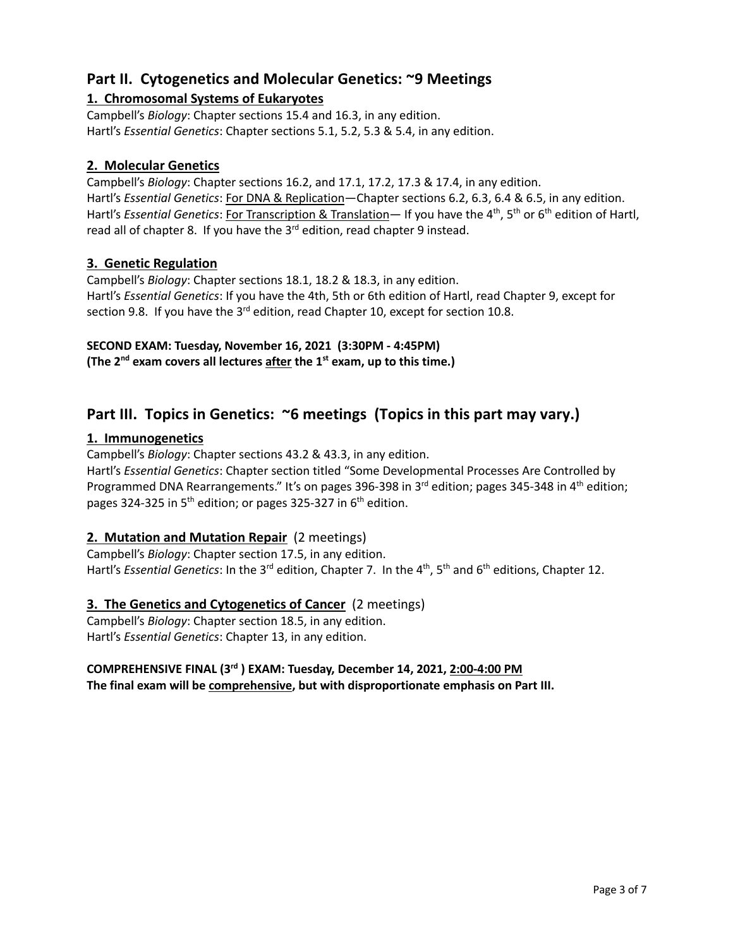# **Part II. Cytogenetics and Molecular Genetics: ~9 Meetings**

# **1. Chromosomal Systems of Eukaryotes**

 Campbell's *Biology*: Chapter sections 15.4 and 16.3, in any edition. Hartl's *Essential Genetics*: Chapter sections 5.1, 5.2, 5.3 & 5.4, in any edition.

# **2. Molecular Genetics**

 Campbell's *Biology*: Chapter sections 16.2, and 17.1, 17.2, 17.3 & 17.4, in any edition. Hartl's *Essential Genetics*: For DNA & Replication—Chapter sections 6.2, 6.3, 6.4 & 6.5, in any edition. Hartl's *Essential Genetics*: For Transcription & Translation— If you have the 4<sup>th</sup>, 5<sup>th</sup> or 6<sup>th</sup> edition of Hartl, read all of chapter 8. If you have the 3<sup>rd</sup> edition, read chapter 9 instead.

# **3. Genetic Regulation**

 Campbell's *Biology*: Chapter sections 18.1, 18.2 & 18.3, in any edition. Hartl's *Essential Genetics*: If you have the 4th, 5th or 6th edition of Hartl, read Chapter 9, except for section 9.8. If you have the  $3^{rd}$  edition, read Chapter 10, except for section 10.8.

# **SECOND EXAM: Tuesday, November 16, 2021 (3:30PM - 4:45PM)**

 **(The 2nd exam covers all lectures after the 1st exam, up to this time.)** 

# Part III. Topics in Genetics: ~6 meetings (Topics in this part may vary.)

# **1. Immunogenetics**

Campbell's *Biology*: Chapter sections 43.2 & 43.3, in any edition.

 Hartl's *Essential Genetics*: Chapter section titled "Some Developmental Processes Are Controlled by Programmed DNA Rearrangements." It's on pages 396-398 in 3<sup>rd</sup> edition; pages 345-348 in 4<sup>th</sup> edition; pages 324-325 in 5<sup>th</sup> edition; or pages 325-327 in 6<sup>th</sup> edition.

# **2. Mutation and Mutation Repair** (2 meetings)

Hartl's *Essential Genetics*: In the 3<sup>rd</sup> edition, Chapter 7. In the 4<sup>th</sup>, 5<sup>th</sup> and 6<sup>th</sup> editions, Chapter 12. Campbell's *Biology*: Chapter section 17.5, in any edition.

# **3. The Genetics and Cytogenetics of Cancer** (2 meetings)

Campbell's *Biology*: Chapter section 18.5, in any edition. Hartl's *Essential Genetics*: Chapter 13, in any edition.

#### **COMPREHENSIVE FINAL (3rd ) EXAM: Tuesday, December 14, 2021, 2:00-4:00 PM The final exam will be comprehensive, but with disproportionate emphasis on Part III.**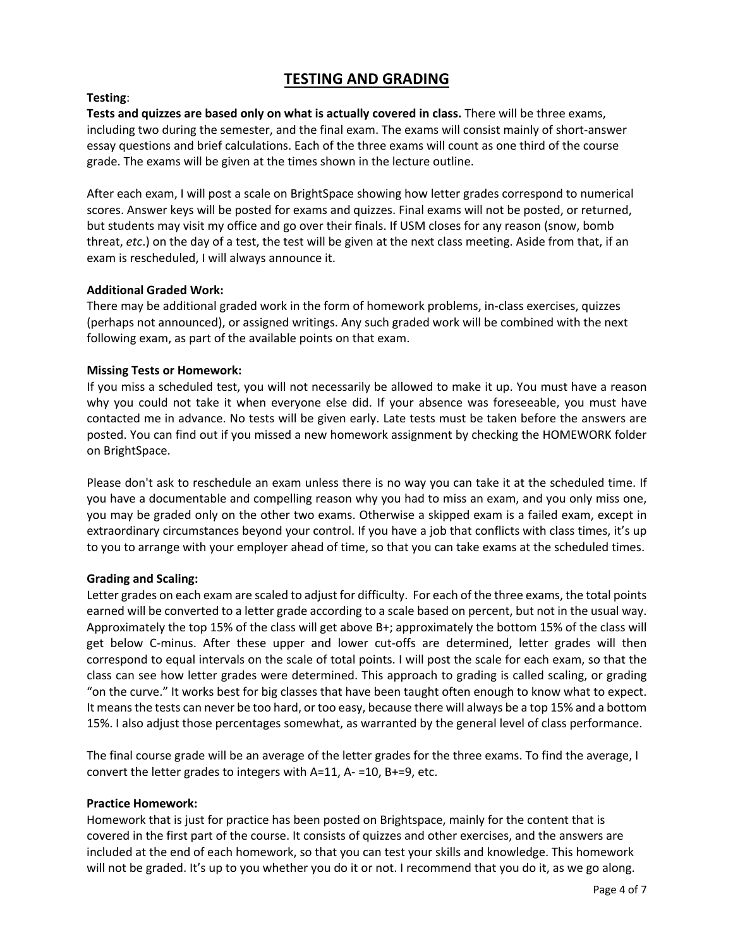# **TESTING AND GRADING**

## **Testing**:

 **Tests and quizzes are based only on what is actually covered in class.** There will be three exams, including two during the semester, and the final exam. The exams will consist mainly of short-answer essay questions and brief calculations. Each of the three exams will count as one third of the course grade. The exams will be given at the times shown in the lecture outline.

 After each exam, I will post a scale on BrightSpace showing how letter grades correspond to numerical scores. Answer keys will be posted for exams and quizzes. Final exams will not be posted, or returned, but students may visit my office and go over their finals. If USM closes for any reason (snow, bomb exam is rescheduled, I will always announce it. threat, *etc*.) on the day of a test, the test will be given at the next class meeting. Aside from that, if an

#### **Additional Graded Work:**

 There may be additional graded work in the form of homework problems, in-class exercises, quizzes (perhaps not announced), or assigned writings. Any such graded work will be combined with the next following exam, as part of the available points on that exam.

### **Missing Tests or Homework:**

 If you miss a scheduled test, you will not necessarily be allowed to make it up. You must have a reason why you could not take it when everyone else did. If your absence was foreseeable, you must have contacted me in advance. No tests will be given early. Late tests must be taken before the answers are posted. You can find out if you missed a new homework assignment by checking the HOMEWORK folder on BrightSpace.

 Please don't ask to reschedule an exam unless there is no way you can take it at the scheduled time. If you may be graded only on the other two exams. Otherwise a skipped exam is a failed exam, except in extraordinary circumstances beyond your control. If you have a job that conflicts with class times, it's up to you to arrange with your employer ahead of time, so that you can take exams at the scheduled times. you have a documentable and compelling reason why you had to miss an exam, and you only miss one,

#### **Grading and Scaling:**

 Letter grades on each exam are scaled to adjust for difficulty. For each of the three exams, the total points earned will be converted to a letter grade according to a scale based on percent, but not in the usual way. Approximately the top 15% of the class will get above B+; approximately the bottom 15% of the class will get below C-minus. After these upper and lower cut-offs are determined, letter grades will then correspond to equal intervals on the scale of total points. I will post the scale for each exam, so that the class can see how letter grades were determined. This approach to grading is called scaling, or grading "on the curve." It works best for big classes that have been taught often enough to know what to expect. It means the tests can never be too hard, or too easy, because there will always be a top 15% and a bottom 15%. I also adjust those percentages somewhat, as warranted by the general level of class performance.

 The final course grade will be an average of the letter grades for the three exams. To find the average, I convert the letter grades to integers with A=11, A- =10, B+=9, etc.

#### **Practice Homework:**

 Homework that is just for practice has been posted on Brightspace, mainly for the content that is covered in the first part of the course. It consists of quizzes and other exercises, and the answers are will not be graded. It's up to you whether you do it or not. I recommend that you do it, as we go along. included at the end of each homework, so that you can test your skills and knowledge. This homework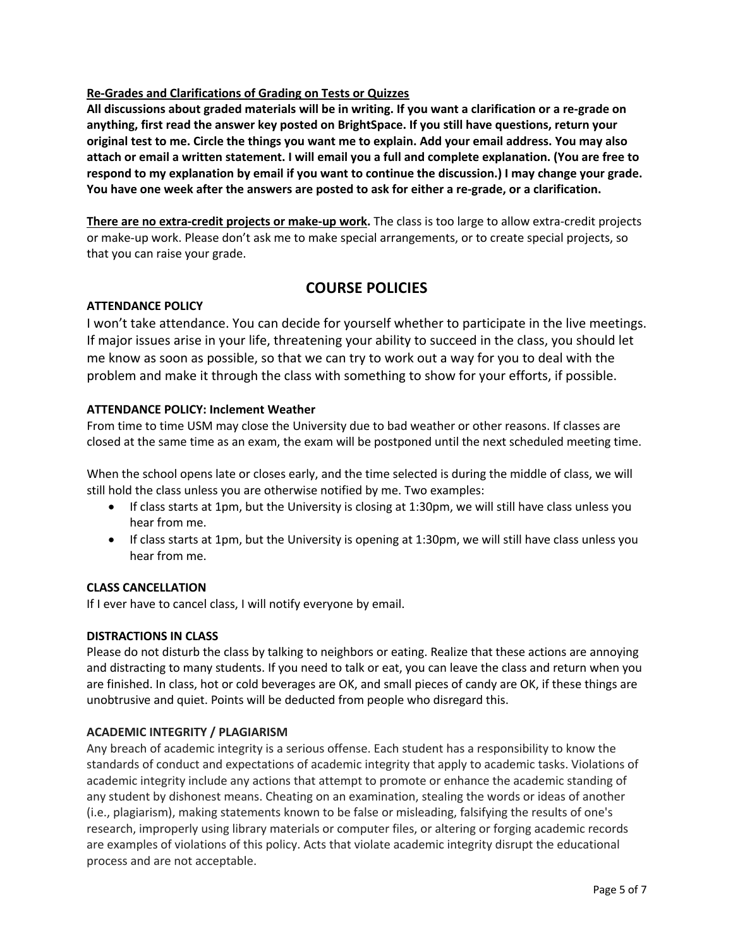### **Re-Grades and Clarifications of Grading on Tests or Quizzes**

 **All discussions about graded materials will be in writing. If you want a clarification or a re-grade on original test to me. Circle the things you want me to explain. Add your email address. You may also attach or email a written statement. I will email you a full and complete explanation. (You are free to respond to my explanation by email if you want to continue the discussion.) I may change your grade. You have one week after the answers are posted to ask for either a re-grade, or a clarification. anything, first read the answer key posted on BrightSpace. If you still have questions, return your** 

 **There are no extra-credit projects or make-up work.** The class is too large to allow extra-credit projects or make-up work. Please don't ask me to make special arrangements, or to create special projects, so that you can raise your grade.

# **COURSE POLICIES**

#### **ATTENDANCE POLICY**

 I won't take attendance. You can decide for yourself whether to participate in the live meetings. If major issues arise in your life, threatening your ability to succeed in the class, you should let me know as soon as possible, so that we can try to work out a way for you to deal with the problem and make it through the class with something to show for your efforts, if possible.

#### **ATTENDANCE POLICY: Inclement Weather**

 From time to time USM may close the University due to bad weather or other reasons. If classes are closed at the same time as an exam, the exam will be postponed until the next scheduled meeting time.

 When the school opens late or closes early, and the time selected is during the middle of class, we will still hold the class unless you are otherwise notified by me. Two examples:

- If class starts at 1pm, but the University is closing at 1:30pm, we will still have class unless you hear from me.
- If class starts at 1pm, but the University is opening at 1:30pm, we will still have class unless you hear from me.

#### **CLASS CANCELLATION**

If I ever have to cancel class, I will notify everyone by email.

#### **DISTRACTIONS IN CLASS**

 Please do not disturb the class by talking to neighbors or eating. Realize that these actions are annoying and distracting to many students. If you need to talk or eat, you can leave the class and return when you unobtrusive and quiet. Points will be deducted from people who disregard this. are finished. In class, hot or cold beverages are OK, and small pieces of candy are OK, if these things are

#### **ACADEMIC INTEGRITY / PLAGIARISM**

 Any breach of academic integrity is a serious offense. Each student has a responsibility to know the standards of conduct and expectations of academic integrity that apply to academic tasks. Violations of academic integrity include any actions that attempt to promote or enhance the academic standing of any student by dishonest means. Cheating on an examination, stealing the words or ideas of another are examples of violations of this policy. Acts that violate academic integrity disrupt the educational (i.e., plagiarism), making statements known to be false or misleading, falsifying the results of one's research, improperly using library materials or computer files, or altering or forging academic records process and are not acceptable.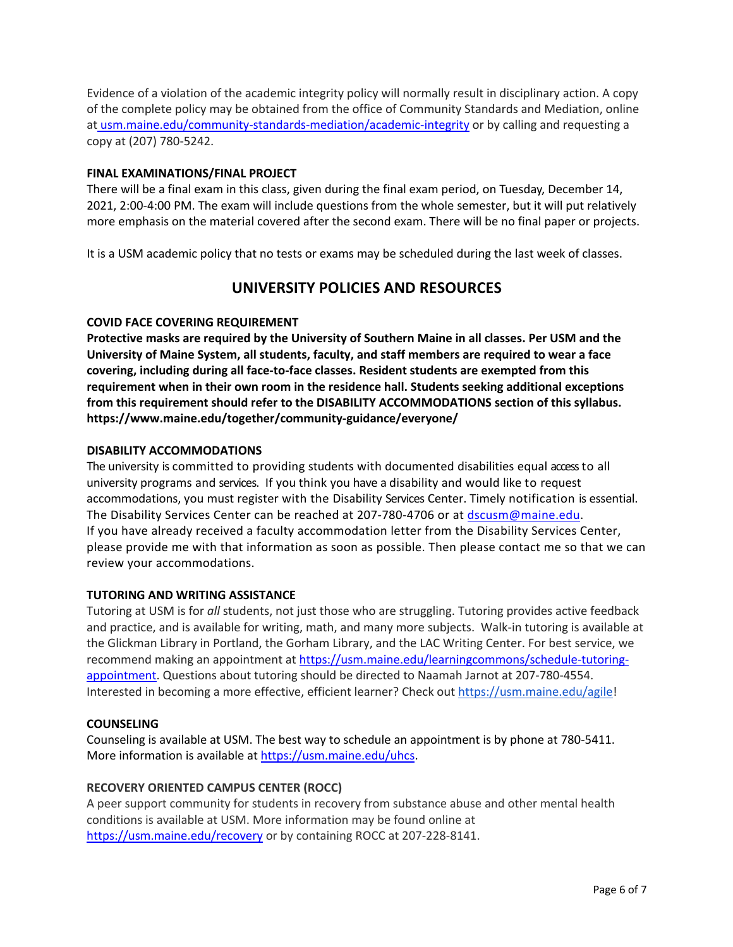Evidence of a violation of the academic integrity policy will normally result in disciplinary action. A copy of the complete policy may be obtained from the office of Community Standards and Mediation, online at [usm.maine.edu/community-standards-mediation/academic-integrity](https://usm.maine.edu/community-standards-mediation/academic-integrity) or by calling and requesting a copy at (207) 780-5242.

#### **FINAL EXAMINATIONS/FINAL PROJECT**

 There will be a final exam in this class, given during the final exam period, on Tuesday, December 14, 2021, 2:00-4:00 PM. The exam will include questions from the whole semester, but it will put relatively more emphasis on the material covered after the second exam. There will be no final paper or projects.

It is a USM academic policy that no tests or exams may be scheduled during the last week of classes.

# **UNIVERSITY POLICIES AND RESOURCES**

### **COVID FACE COVERING REQUIREMENT**

COVID FACE COVERING REQUIREMENT<br>Protective masks are required by the University of Southern Maine in all classes. Per USM and the  **University of Maine System, all students, faculty, and staff members are required to wear a face covering, including during all face-to-face classes. Resident students are exempted from this requirement when in their own room in the residence hall. Students seeking additional exceptions from this requirement should refer to the DISABILITY ACCOMMODATIONS section of this syllabus. <https://www.maine.edu/together/community-guidance/everyone>/** 

#### **DISABILITY ACCOMMODATIONS**

 The university is committed to providing students with documented disabilities equal access to all university programs and services. If you think you have a disability and would like to request accommodations, you must register with the Disability Services Center. Timely notification is essential. The Disability Services Center can be reached at 207-780-4706 or at **dscusm@maine.edu**. please provide me with that information as soon as possible. Then please contact me so that we can If you have already received a faculty accommodation letter from the Disability Services Center, review your accommodations.

#### **TUTORING AND WRITING ASSISTANCE**

 Tutoring at USM is for *all* students, not just those who are struggling. Tutoring provides active feedback and practice, and is available for writing, math, and many more subjects. Walk-in tutoring is available at the Glickman Library in Portland, the Gorham Library, and the LAC Writing Center. For best service, we recommend making an appointment at<https://usm.maine.edu/learningcommons/schedule-tutoring>appointment. Questions about tutoring should be directed to Naamah Jarnot at 207-780-4554. Interested in becoming a more effective, efficient learner? Check out <https://usm.maine.edu/agile>!

#### **COUNSELING**

 Counseling is available at USM. The best way to schedule an appointment is by phone at 780-5411. More information is available at [https://usm.maine.edu/uhcs.](https://usm.maine.edu/uhcs)

#### **RECOVERY ORIENTED CAMPUS CENTER (ROCC)**

 A peer support community for students in recovery from substance abuse and other mental health conditions is available at USM. More information may be found online at <https://usm.maine.edu/recovery>or by containing ROCC at 207-228-8141.